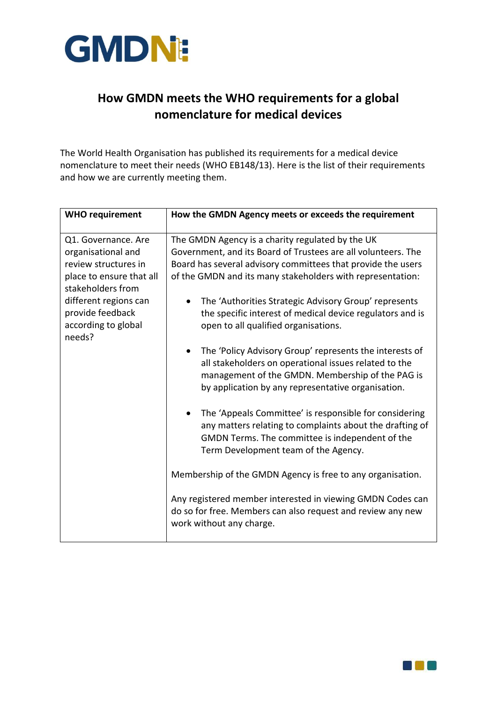

## **How GMDN meets the WHO requirements for a global nomenclature for medical devices**

The World Health Organisation has published its requirements for a medical device nomenclature to meet their needs (WHO EB148/13). Here is the list of their requirements and how we are currently meeting them.

| <b>WHO requirement</b>                                                                                                                                                                           | How the GMDN Agency meets or exceeds the requirement                                                                                                                                                                                            |
|--------------------------------------------------------------------------------------------------------------------------------------------------------------------------------------------------|-------------------------------------------------------------------------------------------------------------------------------------------------------------------------------------------------------------------------------------------------|
| Q1. Governance. Are<br>organisational and<br>review structures in<br>place to ensure that all<br>stakeholders from<br>different regions can<br>provide feedback<br>according to global<br>needs? | The GMDN Agency is a charity regulated by the UK<br>Government, and its Board of Trustees are all volunteers. The<br>Board has several advisory committees that provide the users<br>of the GMDN and its many stakeholders with representation: |
|                                                                                                                                                                                                  | The 'Authorities Strategic Advisory Group' represents<br>the specific interest of medical device regulators and is<br>open to all qualified organisations.                                                                                      |
|                                                                                                                                                                                                  | The 'Policy Advisory Group' represents the interests of<br>$\bullet$<br>all stakeholders on operational issues related to the<br>management of the GMDN. Membership of the PAG is<br>by application by any representative organisation.         |
|                                                                                                                                                                                                  | The 'Appeals Committee' is responsible for considering<br>$\bullet$<br>any matters relating to complaints about the drafting of<br>GMDN Terms. The committee is independent of the<br>Term Development team of the Agency.                      |
|                                                                                                                                                                                                  | Membership of the GMDN Agency is free to any organisation.                                                                                                                                                                                      |
|                                                                                                                                                                                                  | Any registered member interested in viewing GMDN Codes can<br>do so for free. Members can also request and review any new<br>work without any charge.                                                                                           |

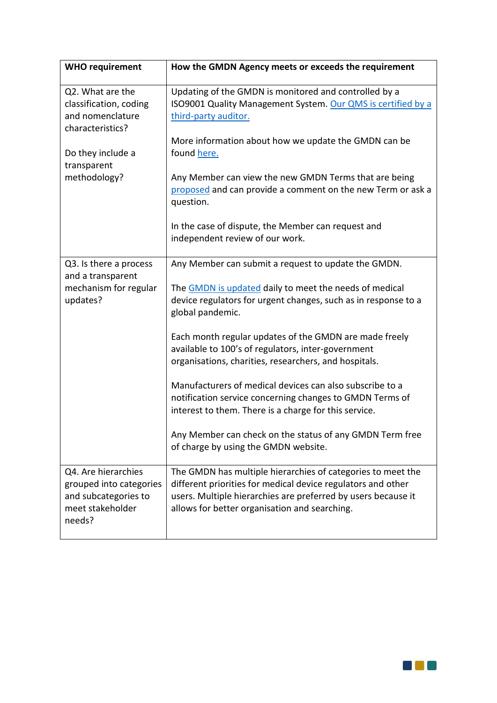| <b>WHO requirement</b>                                                                               | How the GMDN Agency meets or exceeds the requirement                                                                                                                                                                                          |
|------------------------------------------------------------------------------------------------------|-----------------------------------------------------------------------------------------------------------------------------------------------------------------------------------------------------------------------------------------------|
| Q2. What are the<br>classification, coding<br>and nomenclature<br>characteristics?                   | Updating of the GMDN is monitored and controlled by a<br>ISO9001 Quality Management System. Our QMS is certified by a<br>third-party auditor.<br>More information about how we update the GMDN can be                                         |
| Do they include a<br>transparent                                                                     | found here.                                                                                                                                                                                                                                   |
| methodology?                                                                                         | Any Member can view the new GMDN Terms that are being<br>proposed and can provide a comment on the new Term or ask a<br>question.                                                                                                             |
|                                                                                                      | In the case of dispute, the Member can request and<br>independent review of our work.                                                                                                                                                         |
| Q3. Is there a process<br>and a transparent<br>mechanism for regular<br>updates?                     | Any Member can submit a request to update the GMDN.                                                                                                                                                                                           |
|                                                                                                      | The GMDN is updated daily to meet the needs of medical<br>device regulators for urgent changes, such as in response to a<br>global pandemic.                                                                                                  |
|                                                                                                      | Each month regular updates of the GMDN are made freely<br>available to 100's of regulators, inter-government<br>organisations, charities, researchers, and hospitals.                                                                         |
|                                                                                                      | Manufacturers of medical devices can also subscribe to a<br>notification service concerning changes to GMDN Terms of<br>interest to them. There is a charge for this service.                                                                 |
|                                                                                                      | Any Member can check on the status of any GMDN Term free<br>of charge by using the GMDN website.                                                                                                                                              |
| Q4. Are hierarchies<br>grouped into categories<br>and subcategories to<br>meet stakeholder<br>needs? | The GMDN has multiple hierarchies of categories to meet the<br>different priorities for medical device regulators and other<br>users. Multiple hierarchies are preferred by users because it<br>allows for better organisation and searching. |

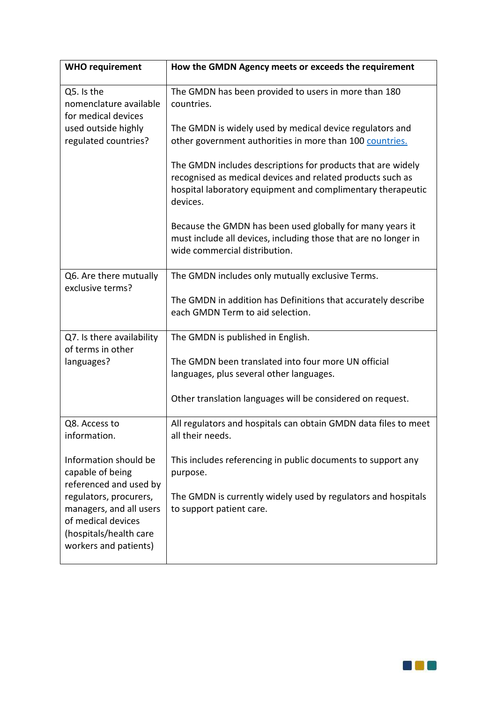| <b>WHO requirement</b>                                                                                                     | How the GMDN Agency meets or exceeds the requirement                                                                                                                                                 |
|----------------------------------------------------------------------------------------------------------------------------|------------------------------------------------------------------------------------------------------------------------------------------------------------------------------------------------------|
| Q5. Is the<br>nomenclature available<br>for medical devices<br>used outside highly<br>regulated countries?                 | The GMDN has been provided to users in more than 180<br>countries.                                                                                                                                   |
|                                                                                                                            | The GMDN is widely used by medical device regulators and<br>other government authorities in more than 100 countries.                                                                                 |
|                                                                                                                            | The GMDN includes descriptions for products that are widely<br>recognised as medical devices and related products such as<br>hospital laboratory equipment and complimentary therapeutic<br>devices. |
|                                                                                                                            | Because the GMDN has been used globally for many years it<br>must include all devices, including those that are no longer in<br>wide commercial distribution.                                        |
| Q6. Are there mutually<br>exclusive terms?                                                                                 | The GMDN includes only mutually exclusive Terms.                                                                                                                                                     |
|                                                                                                                            | The GMDN in addition has Definitions that accurately describe<br>each GMDN Term to aid selection.                                                                                                    |
| Q7. Is there availability<br>of terms in other                                                                             | The GMDN is published in English.                                                                                                                                                                    |
| languages?                                                                                                                 | The GMDN been translated into four more UN official<br>languages, plus several other languages.                                                                                                      |
|                                                                                                                            | Other translation languages will be considered on request.                                                                                                                                           |
| Q8. Access to<br>information.                                                                                              | All regulators and hospitals can obtain GMDN data files to meet<br>all their needs.                                                                                                                  |
| Information should be<br>capable of being<br>referenced and used by                                                        | This includes referencing in public documents to support any<br>purpose.                                                                                                                             |
| regulators, procurers,<br>managers, and all users<br>of medical devices<br>(hospitals/health care<br>workers and patients) | The GMDN is currently widely used by regulators and hospitals<br>to support patient care.                                                                                                            |
|                                                                                                                            |                                                                                                                                                                                                      |

OM O